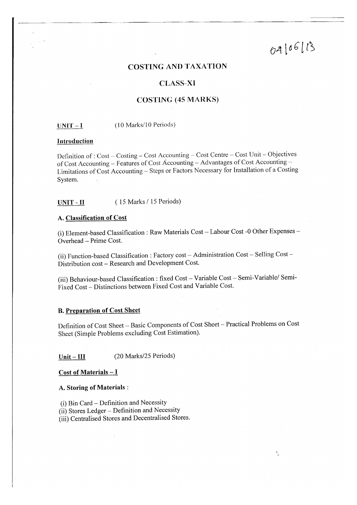# 04/06/13

# **COSTING AND TAXATION**

# **CLASS-XI**

# **COSTING (45 MARKS)**

#### (10 Marks/10 Periods)  $UNIT-I$

#### Introduction

Definition of : Cost - Costing - Cost Accounting - Cost Centre - Cost Unit - Objectives of Cost Accounting – Features of Cost Accounting – Advantages of Cost Accounting – Limitations of Cost Accounting - Steps or Factors Necessary for Installation of a Costing System.

#### (15 Marks / 15 Periods)  $UNIT - II$

### A. Classification of Cost

(i) Element-based Classification: Raw Materials Cost - Labour Cost -0 Other Expenses -Overhead - Prime Cost.

(ii) Function-based Classification: Factory cost - Administration Cost - Selling Cost -Distribution cost - Research and Development Cost.

(iii) Behaviour-based Classification : fixed Cost - Variable Cost - Semi-Variable/ Semi-Fixed Cost - Distinctions between Fixed Cost and Variable Cost.

### **B. Preparation of Cost Sheet**

Definition of Cost Sheet - Basic Components of Cost Sheet - Practical Problems on Cost Sheet (Simple Problems excluding Cost Estimation).

(20 Marks/25 Periods)  $Unit - III$ 

**Cost of Materials - I** 

### A. Storing of Materials :

(i) Bin Card – Definition and Necessity

(ii) Stores Ledger - Definition and Necessity

(iii) Centralised Stores and Decentralised Stores.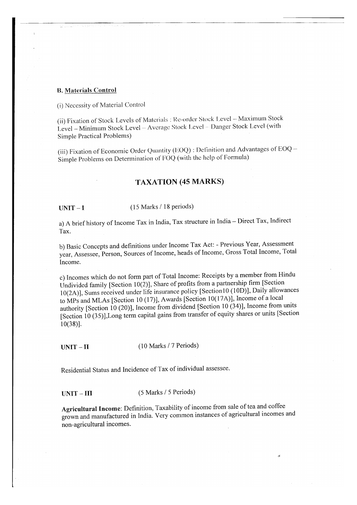### **B. Materials Control**

(i) Necessity of Material Control

(ii) Fixation of Stock Levels of Materials : Re-order Stock Level - Maximum Stock Level - Minimum Stock Level - Average Stock Level - Danger Stock Level (with Simple Practical Problems)

(iii) Fixation of Economic Order Quantity (EOQ) : Definition and Advantages of EOQ -Simple Problems on Determination of FOQ (with the help of Formula)

# TAXATION (4s MARKS)

 $UNIT - I$ 

(15 Marks / 18 periods)

a) A brief history of Income Tax in India, Tax structure in India - Direct Tax, Indirect Tax.

b) Basic Concepts and definitions under Income Tax Act: - Previous Year, Assessment year, Assessee, Person, Sources of Income, heads of Income, Gross Total Income, Total Income.

c) Incomes which do not form part of Total Income: Receipts by a member from Hindu Undivided family [Section 10(2)], Share of profits from a partnership firm [Section 10(2A)], Sums received under life insurance policy [Sectionl0 (10D)], Daily allowances to MPs and MLAs [Section 10 (17)], Awards [Section 10(17A)], Income of a local authority [Section 10 (20)], Income from dividend [Section 10 (34)], Income from units [Section 10 (35)], Long term capital gains from transfer of equity shares or units [Section 10(38)1.

 $UNIT - II$  (10 Marks / 7 Periods)

Residential Status and Incidence of Tax of individual assessee.

 $UNIT - III$  (5 Marks / 5 Periods)

Agricultural Income: Definition, Taxability of income from sale of tea and coffee grown and manufactured in India. Very common instances of agricultural incomes and non-agricultural incomes.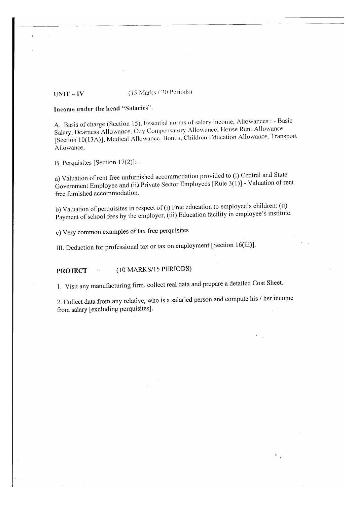#### (15 Marks / 20 Periods)  $UNIT - IV$

# Income under the head "Salaries":

A. Basis of charge (Section 15), Essential norms of salary income, Allowances : - Basic Salary, Dearness Allowance, City Compensatory Allowance, House Rent Allowance [Section 10(13A)], Medical Allowance, Bonus, Children Education Allowance, Transport Allowance,

B. Perquisites [Section  $17(2)$ ]: -

a) Valuation of rent free unfurnished accommodation provided to (i) Central and State Government Employee and (ii) Private Sector Employees [Rule  $3(1)$ ] - Valuation of rent free furnished accommodation.

b) Valuation of perquisites in respect of (i) Free education to employee's children: (ii) Payment of school fees by the employer, (iii) Education facility in employee's institute.

c) Very common examples of tax free perquisites

III. Deduction for professional tax or tax on employment [Section 16(iii)].

(10 MARKS/15 PERIODS) **PROJECT**  $\tau_{\rm A}$ 

1. Visit any manufacturing firm, collect real data and prepare a detailed Cost Sheet.

2. Collect data from any relative, who is a salaried person and compute his / her income from salary [excluding perquisites].

 $\frac{1}{2}$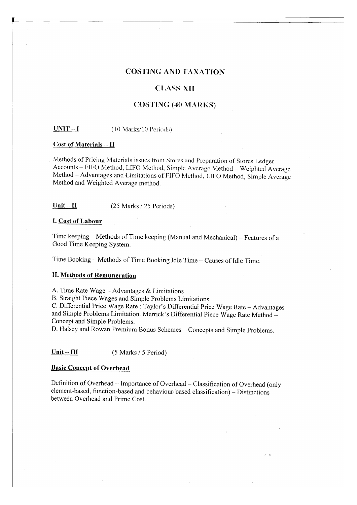# **COSTING AND TAXATION**

# **CLASS-XII**

# **COSTING (40 MARKS)**

 $UNIT-I$ (10 Marks/10 Periods)

# **Cost of Materials - II**

Methods of Pricing Materials issues from Stores and Preparation of Stores Ledger Accounts - FIFO Method, LIFO Method, Simple Average Method - Weighted Average Method - Advantages and Limitations of FIFO Method, LIFO Method, Simple Average Method and Weighted Average method.

#### $Unit-H$ </u> (25 Marks / 25 Periods)

### I. Cost of Labour

Time keeping – Methods of Time keeping (Manual and Mechanical) – Features of a Good Time Keeping System.

Time Booking - Methods of Time Booking Idle Time - Causes of Idle Time.

# **II. Methods of Remuneration**

A. Time Rate Wage - Advantages & Limitations

B. Straight Piece Wages and Simple Problems Limitations.

C. Differential Price Wage Rate: Taylor's Differential Price Wage Rate - Advantages and Simple Problems Limitation. Merrick's Differential Piece Wage Rate Method -Concept and Simple Problems.

D. Halsey and Rowan Premium Bonus Schemes - Concepts and Simple Problems.

 $Unit - III$ (5 Marks / 5 Period)

#### **Basic Concept of Overhead**

Definition of Overhead - Importance of Overhead - Classification of Overhead (only element-based, function-based and behaviour-based classification) - Distinctions between Overhead and Prime Cost.